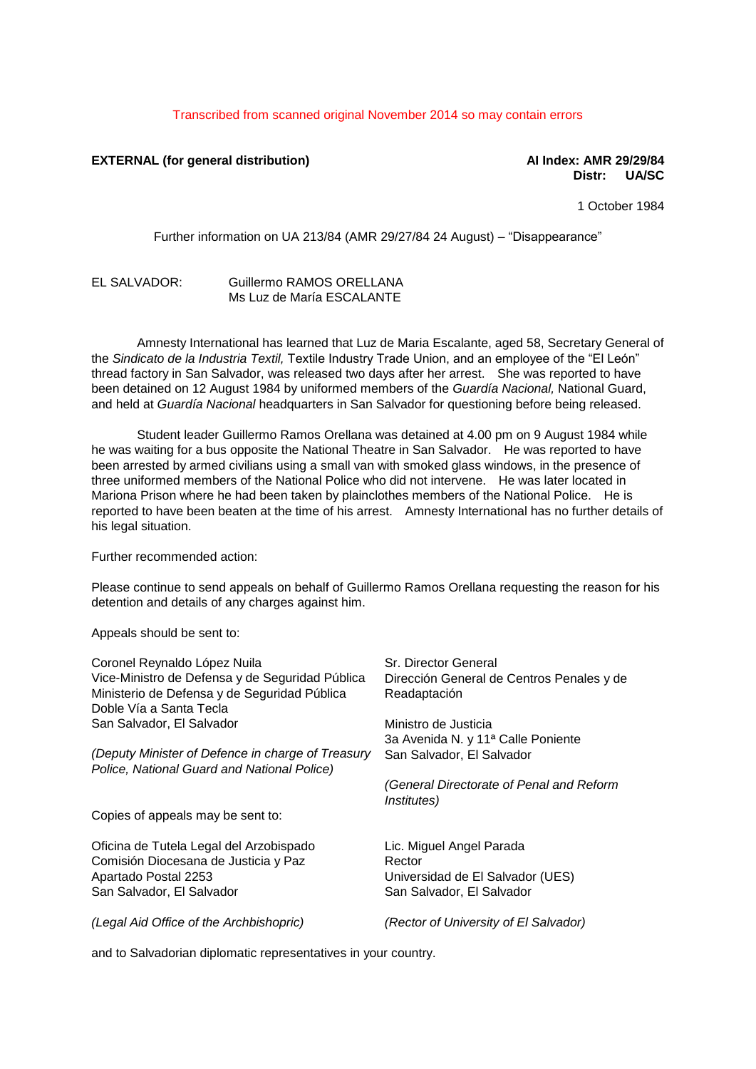## Transcribed from scanned original November 2014 so may contain errors

## **EXTERNAL (for general distribution) AI Index: AMR 29/29/84**

## **Distr: UA/SC**

1 October 1984

Further information on UA 213/84 (AMR 29/27/84 24 August) – "Disappearance"

## EL SALVADOR: Guillermo RAMOS ORELLANA Ms Luz de María ESCALANTE

Amnesty International has learned that Luz de Maria Escalante, aged 58, Secretary General of the *Sindicato de la Industria Textil,* Textile Industry Trade Union, and an employee of the "El León" thread factory in San Salvador, was released two days after her arrest. She was reported to have been detained on 12 August 1984 by uniformed members of the *Guardía Nacional,* National Guard, and held at *Guardía Nacional* headquarters in San Salvador for questioning before being released.

Student leader Guillermo Ramos Orellana was detained at 4.00 pm on 9 August 1984 while he was waiting for a bus opposite the National Theatre in San Salvador. He was reported to have been arrested by armed civilians using a small van with smoked glass windows, in the presence of three uniformed members of the National Police who did not intervene. He was later located in Mariona Prison where he had been taken by plainclothes members of the National Police. He is reported to have been beaten at the time of his arrest. Amnesty International has no further details of his legal situation.

Further recommended action:

Please continue to send appeals on behalf of Guillermo Ramos Orellana requesting the reason for his detention and details of any charges against him.

Appeals should be sent to:

| Coronel Reynaldo López Nuila                      | Sr. Director General                                            |
|---------------------------------------------------|-----------------------------------------------------------------|
| Vice-Ministro de Defensa y de Seguridad Pública   | Dirección General de Centros Penales y de                       |
| Ministerio de Defensa y de Seguridad Pública      | Readaptación                                                    |
| Doble Vía a Santa Tecla                           |                                                                 |
| San Salvador, El Salvador                         | Ministro de Justicia                                            |
|                                                   | 3a Avenida N. y 11 <sup>a</sup> Calle Poniente                  |
| (Deputy Minister of Defence in charge of Treasury | San Salvador, El Salvador                                       |
| Police, National Guard and National Police)       |                                                                 |
|                                                   | (General Directorate of Penal and Reform<br><i>Institutes</i> ) |
| Copies of appeals may be sent to:                 |                                                                 |
| Oficina de Tutela Legal del Arzobispado           | Lic. Miguel Angel Parada                                        |
| Comisión Diocesana de Justicia y Paz              | Rector                                                          |
| Apartado Postal 2253                              | Universidad de El Salvador (UES)                                |
| San Salvador, El Salvador                         | San Salvador, El Salvador                                       |
| (Legal Aid Office of the Archbishopric)           | (Rector of University of El Salvador)                           |

and to Salvadorian diplomatic representatives in your country.